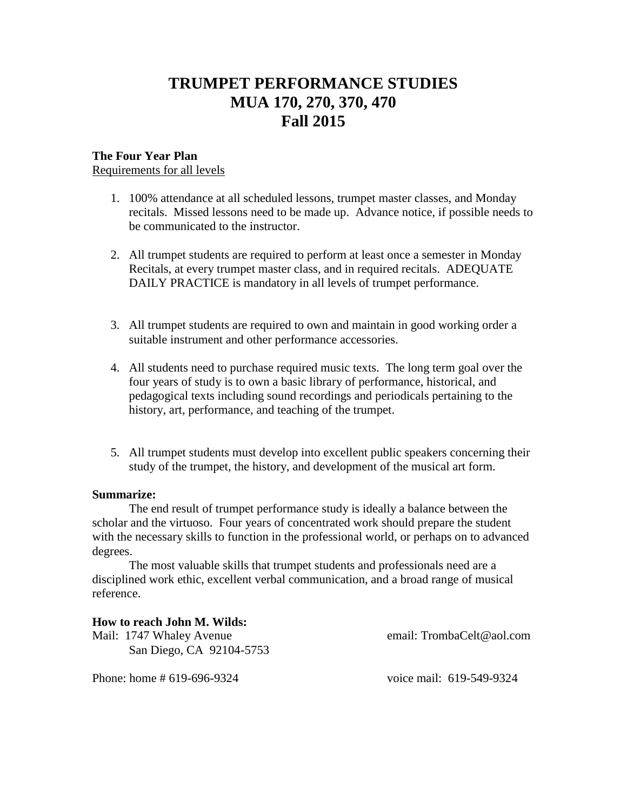# **TRUMPET PERFORMANCE STUDIES MUA 170, 270, 370, 470 Fall 2015**

#### **The Four Year Plan**

Requirements for all levels

- 1. 100% attendance at all scheduled lessons, trumpet master classes, and Monday recitals. Missed lessons need to be made up. Advance notice, if possible needs to be communicated to the instructor.
- 2. All trumpet students are required to perform at least once a semester in Monday Recitals, at every trumpet master class, and in required recitals. ADEQUATE DAILY PRACTICE is mandatory in all levels of trumpet performance.
- 3. All trumpet students are required to own and maintain in good working order a suitable instrument and other performance accessories.
- 4. All students need to purchase required music texts. The long term goal over the four years of study is to own a basic library of performance, historical, and pedagogical texts including sound recordings and periodicals pertaining to the history, art, performance, and teaching of the trumpet.
- 5. All trumpet students must develop into excellent public speakers concerning their study of the trumpet, the history, and development of the musical art form.

#### **Summarize:**

The end result of trumpet performance study is ideally a balance between the scholar and the virtuoso. Four years of concentrated work should prepare the student with the necessary skills to function in the professional world, or perhaps on to advanced degrees.

The most valuable skills that trumpet students and professionals need are a disciplined work ethic, excellent verbal communication, and a broad range of musical reference.

#### **How to reach John M. Wilds:**

Mail: 1747 Whaley Avenue email: TrombaCelt@aol.com San Diego, CA 92104-5753

Phone: home # 619-696-9324 voice mail: 619-549-9324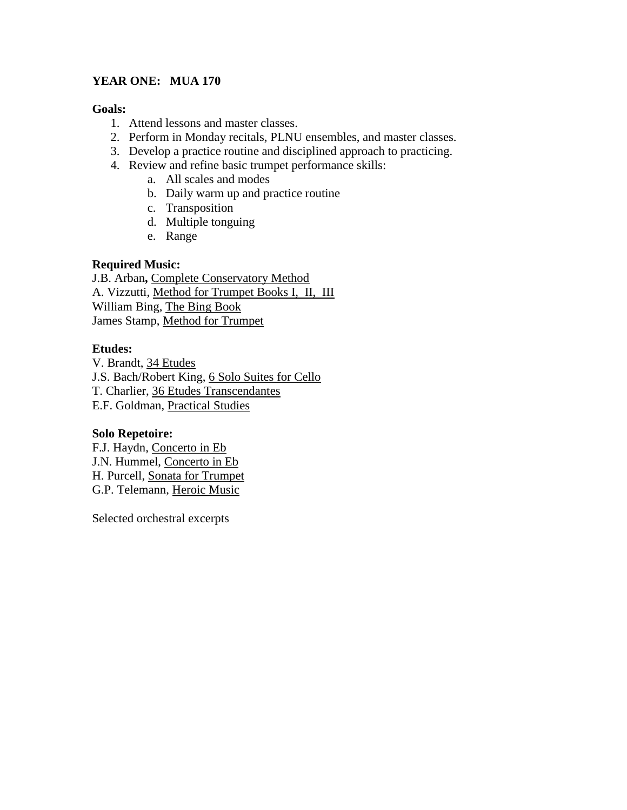# **YEAR ONE: MUA 170**

#### **Goals:**

- 1. Attend lessons and master classes.
- 2. Perform in Monday recitals, PLNU ensembles, and master classes.
- 3. Develop a practice routine and disciplined approach to practicing.
- 4. Review and refine basic trumpet performance skills:
	- a. All scales and modes
	- b. Daily warm up and practice routine
	- c. Transposition
	- d. Multiple tonguing
	- e. Range

# **Required Music:**

J.B. Arban**,** Complete Conservatory Method A. Vizzutti, Method for Trumpet Books I, II, III William Bing, The Bing Book James Stamp, Method for Trumpet

# **Etudes:**

V. Brandt, 34 Etudes J.S. Bach/Robert King, 6 Solo Suites for Cello T. Charlier, 36 Etudes Transcendantes E.F. Goldman, Practical Studies

# **Solo Repetoire:**

F.J. Haydn, Concerto in Eb J.N. Hummel, Concerto in Eb H. Purcell, Sonata for Trumpet G.P. Telemann, Heroic Music

Selected orchestral excerpts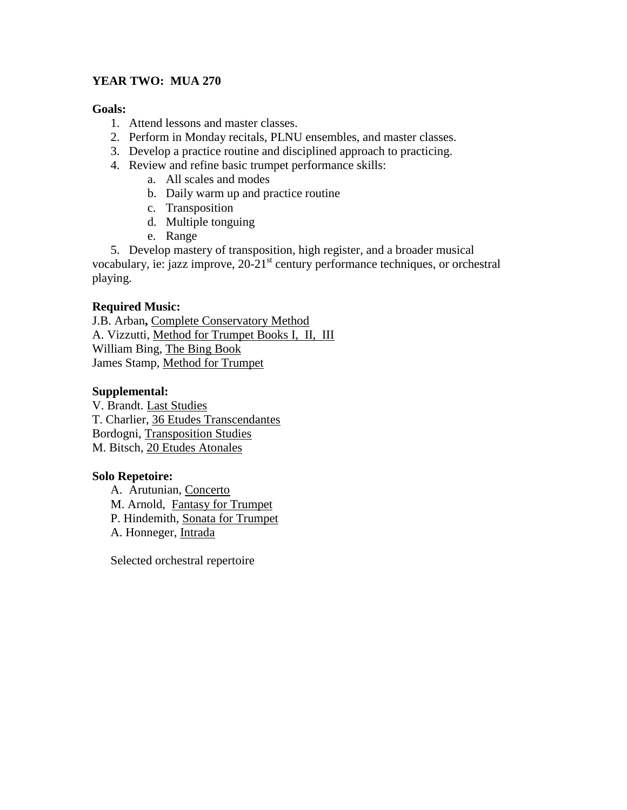# **YEAR TWO: MUA 270**

#### **Goals:**

- 1. Attend lessons and master classes.
- 2. Perform in Monday recitals, PLNU ensembles, and master classes.
- 3. Develop a practice routine and disciplined approach to practicing.
- 4. Review and refine basic trumpet performance skills:
	- a. All scales and modes
	- b. Daily warm up and practice routine
	- c. Transposition
	- d. Multiple tonguing
	- e. Range
- 5. Develop mastery of transposition, high register, and a broader musical

vocabulary, ie: jazz improve, 20-21<sup>st</sup> century performance techniques, or orchestral playing.

# **Required Music:**

J.B. Arban**,** Complete Conservatory Method A. Vizzutti, Method for Trumpet Books I, II, III William Bing, The Bing Book James Stamp, Method for Trumpet

# **Supplemental:**

V. Brandt. Last Studies T. Charlier, 36 Etudes Transcendantes Bordogni, Transposition Studies M. Bitsch, 20 Etudes Atonales

# **Solo Repetoire:**

A. Arutunian, Concerto M. Arnold, Fantasy for Trumpet P. Hindemith, Sonata for Trumpet A. Honneger, Intrada

Selected orchestral repertoire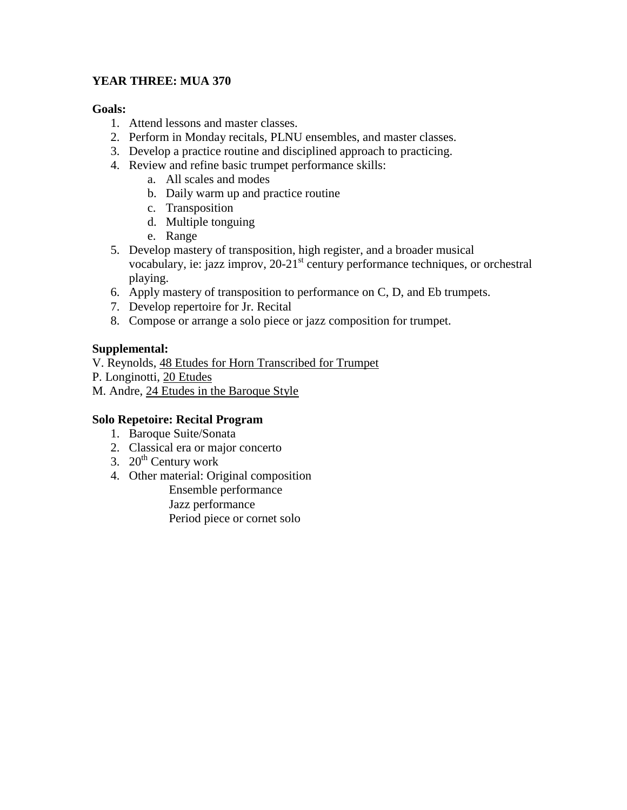# **YEAR THREE: MUA 370**

### **Goals:**

- 1. Attend lessons and master classes.
- 2. Perform in Monday recitals, PLNU ensembles, and master classes.
- 3. Develop a practice routine and disciplined approach to practicing.
- 4. Review and refine basic trumpet performance skills:
	- a. All scales and modes
	- b. Daily warm up and practice routine
	- c. Transposition
	- d. Multiple tonguing
	- e. Range
- 5. Develop mastery of transposition, high register, and a broader musical vocabulary, ie: jazz improv, 20-21<sup>st</sup> century performance techniques, or orchestral playing.
- 6. Apply mastery of transposition to performance on C, D, and Eb trumpets.
- 7. Develop repertoire for Jr. Recital
- 8. Compose or arrange a solo piece or jazz composition for trumpet.

# **Supplemental:**

V. Reynolds, 48 Etudes for Horn Transcribed for Trumpet

- P. Longinotti, 20 Etudes
- M. Andre, 24 Etudes in the Baroque Style

# **Solo Repetoire: Recital Program**

- 1. Baroque Suite/Sonata
- 2. Classical era or major concerto
- 3.  $20^{th}$  Century work
- 4. Other material: Original composition
	- Ensemble performance Jazz performance Period piece or cornet solo